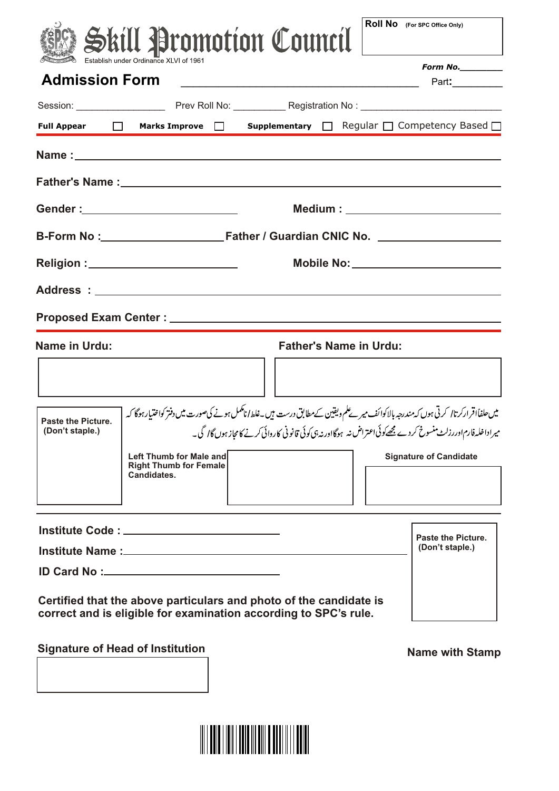|                                                       |                                              | Skill Promotion Council                                                                                                                                                                                                                                 |  | <b>Roll No</b> (For SPC Office Only)      |
|-------------------------------------------------------|----------------------------------------------|---------------------------------------------------------------------------------------------------------------------------------------------------------------------------------------------------------------------------------------------------------|--|-------------------------------------------|
|                                                       | Establish under Ordinance XLVI of 1961       |                                                                                                                                                                                                                                                         |  | Form No.                                  |
| <b>Admission Form</b>                                 |                                              |                                                                                                                                                                                                                                                         |  | Part:                                     |
|                                                       |                                              |                                                                                                                                                                                                                                                         |  |                                           |
|                                                       |                                              | Full Appear □ Marks Improve □ Supplementary □ Regular □ Competency Based □                                                                                                                                                                              |  |                                           |
|                                                       |                                              |                                                                                                                                                                                                                                                         |  |                                           |
|                                                       |                                              |                                                                                                                                                                                                                                                         |  |                                           |
|                                                       |                                              |                                                                                                                                                                                                                                                         |  | Medium : ________________________________ |
|                                                       |                                              |                                                                                                                                                                                                                                                         |  |                                           |
| Mobile No: _________________________                  |                                              |                                                                                                                                                                                                                                                         |  |                                           |
|                                                       |                                              |                                                                                                                                                                                                                                                         |  |                                           |
|                                                       |                                              |                                                                                                                                                                                                                                                         |  |                                           |
| <b>Name in Urdu:</b><br><b>Father's Name in Urdu:</b> |                                              |                                                                                                                                                                                                                                                         |  |                                           |
|                                                       |                                              |                                                                                                                                                                                                                                                         |  |                                           |
|                                                       |                                              |                                                                                                                                                                                                                                                         |  |                                           |
| <b>Paste the Picture.</b><br>(Don't staple.)          |                                              | میں حلفاًاقرارکرتا/ کرتی ہوں کہ مندرجہ بالاکوائف میر نے کم ویقین کے مطابق درست ہیں۔غلطا نامکمل ہونے کی صورت میں دفتر کواختیار ہوگا کہ<br>میراداخلہ فارم اوررزلٹ منسوخ کردے مجھےکوئی اعتراض نہ ہوگااور نہ ہی کوئی قانونی کاروائی کرنے کامجاز ہوں گاا گی۔ |  |                                           |
|                                                       | Left Thumb for Male and                      |                                                                                                                                                                                                                                                         |  | <b>Signature of Candidate</b>             |
|                                                       | <b>Right Thumb for Female</b><br>Candidates. |                                                                                                                                                                                                                                                         |  |                                           |
|                                                       |                                              |                                                                                                                                                                                                                                                         |  |                                           |
|                                                       |                                              |                                                                                                                                                                                                                                                         |  | <b>Paste the Picture.</b>                 |
|                                                       |                                              |                                                                                                                                                                                                                                                         |  | (Don't staple.)                           |
|                                                       |                                              |                                                                                                                                                                                                                                                         |  |                                           |
|                                                       |                                              | Certified that the above particulars and photo of the candidate is<br>correct and is eligible for examination according to SPC's rule.                                                                                                                  |  |                                           |

**Signature of Head of Institution**